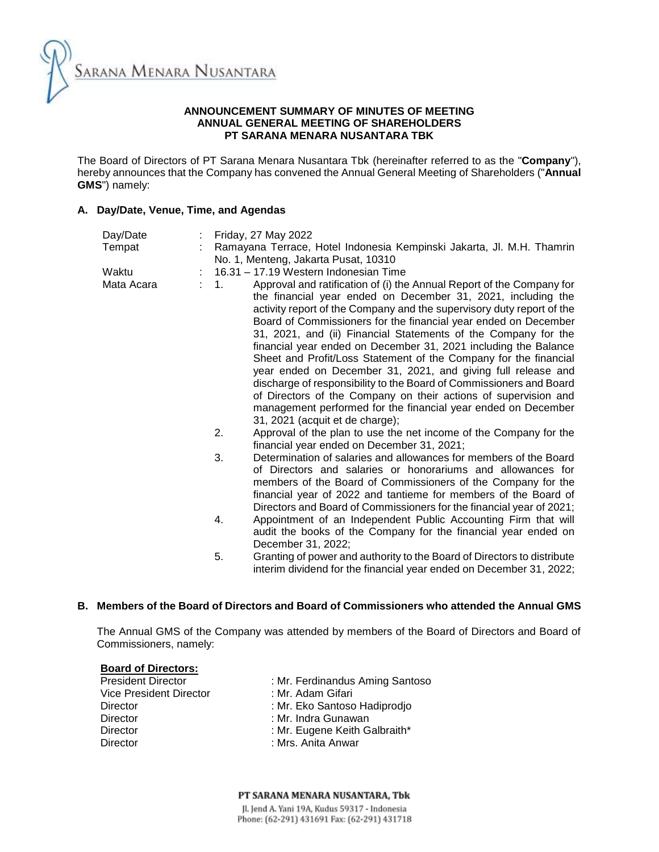

## **ANNOUNCEMENT SUMMARY OF MINUTES OF MEETING ANNUAL GENERAL MEETING OF SHAREHOLDERS PT SARANA MENARA NUSANTARA TBK**

The Board of Directors of PT Sarana Menara Nusantara Tbk (hereinafter referred to as the "**Company**"), hereby announces that the Company has convened the Annual General Meeting of Shareholders ("**Annual GMS**") namely:

## **A. Day/Date, Venue, Time, and Agendas**

| Day/Date   | Friday, 27 May 2022                                                                                                                                                                                                                                                                                                                                                                                                                                                                                                                                                                                                                                                                                                                                                                                                                                                                                                                                                                                                                                                                                                                                                                                                                                                                                                                                                                                                                                |
|------------|----------------------------------------------------------------------------------------------------------------------------------------------------------------------------------------------------------------------------------------------------------------------------------------------------------------------------------------------------------------------------------------------------------------------------------------------------------------------------------------------------------------------------------------------------------------------------------------------------------------------------------------------------------------------------------------------------------------------------------------------------------------------------------------------------------------------------------------------------------------------------------------------------------------------------------------------------------------------------------------------------------------------------------------------------------------------------------------------------------------------------------------------------------------------------------------------------------------------------------------------------------------------------------------------------------------------------------------------------------------------------------------------------------------------------------------------------|
| Tempat     | Ramayana Terrace, Hotel Indonesia Kempinski Jakarta, Jl. M.H. Thamrin<br>No. 1, Menteng, Jakarta Pusat, 10310                                                                                                                                                                                                                                                                                                                                                                                                                                                                                                                                                                                                                                                                                                                                                                                                                                                                                                                                                                                                                                                                                                                                                                                                                                                                                                                                      |
| Waktu      | 16.31 - 17.19 Western Indonesian Time                                                                                                                                                                                                                                                                                                                                                                                                                                                                                                                                                                                                                                                                                                                                                                                                                                                                                                                                                                                                                                                                                                                                                                                                                                                                                                                                                                                                              |
| Mata Acara | Approval and ratification of (i) the Annual Report of the Company for<br>$\mathbf{1}$ .<br>the financial year ended on December 31, 2021, including the<br>activity report of the Company and the supervisory duty report of the<br>Board of Commissioners for the financial year ended on December<br>31, 2021, and (ii) Financial Statements of the Company for the<br>financial year ended on December 31, 2021 including the Balance<br>Sheet and Profit/Loss Statement of the Company for the financial<br>year ended on December 31, 2021, and giving full release and<br>discharge of responsibility to the Board of Commissioners and Board<br>of Directors of the Company on their actions of supervision and<br>management performed for the financial year ended on December<br>31, 2021 (acquit et de charge);<br>2.<br>Approval of the plan to use the net income of the Company for the<br>financial year ended on December 31, 2021;<br>3.<br>Determination of salaries and allowances for members of the Board<br>of Directors and salaries or honorariums and allowances for<br>members of the Board of Commissioners of the Company for the<br>financial year of 2022 and tantieme for members of the Board of<br>Directors and Board of Commissioners for the financial year of 2021;<br>Appointment of an Independent Public Accounting Firm that will<br>4.<br>audit the books of the Company for the financial year ended on |
|            | 5.<br>Granting of power and authority to the Board of Directors to distribute                                                                                                                                                                                                                                                                                                                                                                                                                                                                                                                                                                                                                                                                                                                                                                                                                                                                                                                                                                                                                                                                                                                                                                                                                                                                                                                                                                      |
|            | December 31, 2022;<br>interim dividend for the financial year ended on December 31, 2022;                                                                                                                                                                                                                                                                                                                                                                                                                                                                                                                                                                                                                                                                                                                                                                                                                                                                                                                                                                                                                                                                                                                                                                                                                                                                                                                                                          |

# **B. Members of the Board of Directors and Board of Commissioners who attended the Annual GMS**

The Annual GMS of the Company was attended by members of the Board of Directors and Board of Commissioners, namely:

# **Board of Directors:**

| <b>President Director</b> | : Mr. Ferdinandus Aming Santoso |  |  |
|---------------------------|---------------------------------|--|--|
| Vice President Director   | : Mr. Adam Gifari               |  |  |
| Director                  | : Mr. Eko Santoso Hadiprodjo    |  |  |
| <b>Director</b>           | : Mr. Indra Gunawan             |  |  |
| <b>Director</b>           | : Mr. Eugene Keith Galbraith*   |  |  |
| <b>Director</b>           | : Mrs. Anita Anwar              |  |  |
|                           |                                 |  |  |

#### PT SARANA MENARA NUSANTARA. Tbk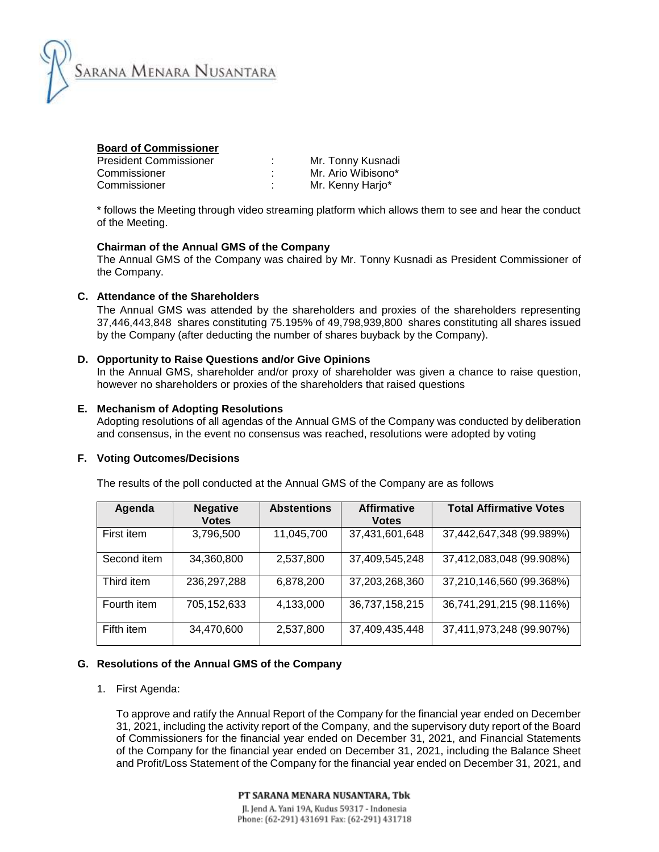

| <b>Board of Commissioner</b>  |   |                    |
|-------------------------------|---|--------------------|
| <b>President Commissioner</b> | ٠ | Mr. Tonny Kusnadi  |
| Commissioner                  | ٠ | Mr. Ario Wibisono* |
| Commissioner                  | ٠ | Mr. Kenny Harjo*   |

\* follows the Meeting through video streaming platform which allows them to see and hear the conduct of the Meeting.

### **Chairman of the Annual GMS of the Company**

The Annual GMS of the Company was chaired by Mr. Tonny Kusnadi as President Commissioner of the Company.

## **C. Attendance of the Shareholders**

The Annual GMS was attended by the shareholders and proxies of the shareholders representing 37,446,443,848 shares constituting 75.195% of 49,798,939,800 shares constituting all shares issued by the Company (after deducting the number of shares buyback by the Company).

#### **D. Opportunity to Raise Questions and/or Give Opinions**

In the Annual GMS, shareholder and/or proxy of shareholder was given a chance to raise question, however no shareholders or proxies of the shareholders that raised questions

#### **E. Mechanism of Adopting Resolutions**

Adopting resolutions of all agendas of the Annual GMS of the Company was conducted by deliberation and consensus, in the event no consensus was reached, resolutions were adopted by voting

#### **F. Voting Outcomes/Decisions**

The results of the poll conducted at the Annual GMS of the Company are as follows

| Agenda      | <b>Negative</b><br><b>Votes</b> | <b>Abstentions</b> | <b>Affirmative</b><br><b>Votes</b> | <b>Total Affirmative Votes</b> |
|-------------|---------------------------------|--------------------|------------------------------------|--------------------------------|
| First item  | 3,796,500                       | 11,045,700         | 37,431,601,648                     | 37,442,647,348 (99.989%)       |
| Second item | 34,360,800                      | 2,537,800          | 37,409,545,248                     | 37,412,083,048 (99.908%)       |
| Third item  | 236, 297, 288                   | 6,878,200          | 37,203,268,360                     | 37,210,146,560 (99.368%)       |
| Fourth item | 705, 152, 633                   | 4,133,000          | 36,737,158,215                     | 36,741,291,215 (98.116%)       |
| Fifth item  | 34,470,600                      | 2,537,800          | 37,409,435,448                     | 37,411,973,248 (99.907%)       |

## **G. Resolutions of the Annual GMS of the Company**

1. First Agenda:

To approve and ratify the Annual Report of the Company for the financial year ended on December 31, 2021, including the activity report of the Company, and the supervisory duty report of the Board of Commissioners for the financial year ended on December 31, 2021, and Financial Statements of the Company for the financial year ended on December 31, 2021, including the Balance Sheet and Profit/Loss Statement of the Company for the financial year ended on December 31, 2021, and

PT SARANA MENARA NUSANTARA. Tbk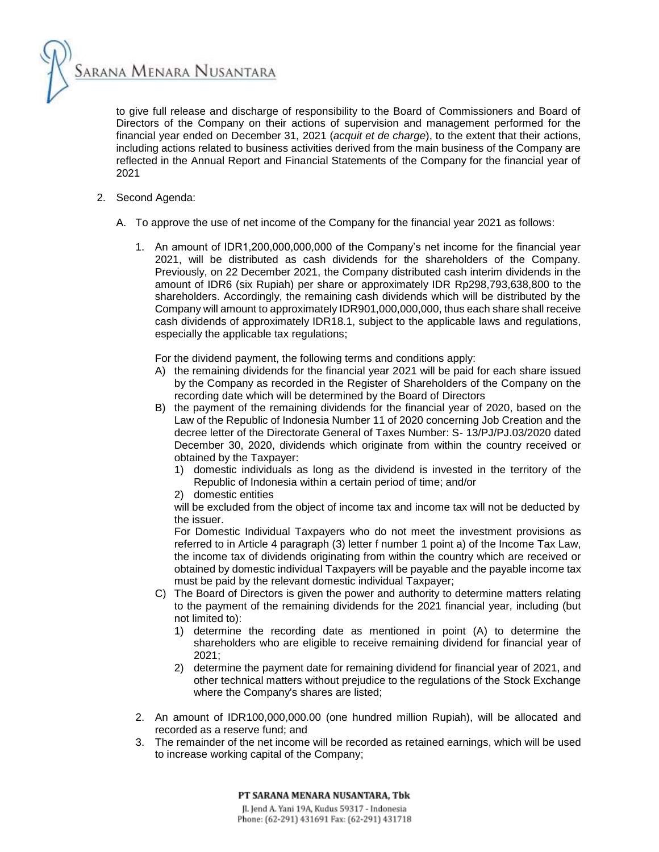SARANA MENARA NUSANTARA

to give full release and discharge of responsibility to the Board of Commissioners and Board of Directors of the Company on their actions of supervision and management performed for the financial year ended on December 31, 2021 (*acquit et de charge*), to the extent that their actions, including actions related to business activities derived from the main business of the Company are reflected in the Annual Report and Financial Statements of the Company for the financial year of 2021

- 2. Second Agenda:
	- A. To approve the use of net income of the Company for the financial year 2021 as follows:
		- 1. An amount of IDR1,200,000,000,000 of the Company's net income for the financial year 2021, will be distributed as cash dividends for the shareholders of the Company. Previously, on 22 December 2021, the Company distributed cash interim dividends in the amount of IDR6 (six Rupiah) per share or approximately IDR Rp298,793,638,800 to the shareholders. Accordingly, the remaining cash dividends which will be distributed by the Company will amount to approximately IDR901,000,000,000, thus each share shall receive cash dividends of approximately IDR18.1, subject to the applicable laws and regulations, especially the applicable tax regulations;

For the dividend payment, the following terms and conditions apply:

- A) the remaining dividends for the financial year 2021 will be paid for each share issued by the Company as recorded in the Register of Shareholders of the Company on the recording date which will be determined by the Board of Directors
- B) the payment of the remaining dividends for the financial year of 2020, based on the Law of the Republic of Indonesia Number 11 of 2020 concerning Job Creation and the decree letter of the Directorate General of Taxes Number: S- 13/PJ/PJ.03/2020 dated December 30, 2020, dividends which originate from within the country received or obtained by the Taxpayer:
	- 1) domestic individuals as long as the dividend is invested in the territory of the Republic of Indonesia within a certain period of time; and/or
	- 2) domestic entities

will be excluded from the object of income tax and income tax will not be deducted by the issuer.

For Domestic Individual Taxpayers who do not meet the investment provisions as referred to in Article 4 paragraph (3) letter f number 1 point a) of the Income Tax Law, the income tax of dividends originating from within the country which are received or obtained by domestic individual Taxpayers will be payable and the payable income tax must be paid by the relevant domestic individual Taxpayer;

- C) The Board of Directors is given the power and authority to determine matters relating to the payment of the remaining dividends for the 2021 financial year, including (but not limited to):
	- 1) determine the recording date as mentioned in point (A) to determine the shareholders who are eligible to receive remaining dividend for financial year of 2021;
	- 2) determine the payment date for remaining dividend for financial year of 2021, and other technical matters without prejudice to the regulations of the Stock Exchange where the Company's shares are listed;
- 2. An amount of IDR100,000,000.00 (one hundred million Rupiah), will be allocated and recorded as a reserve fund; and
- 3. The remainder of the net income will be recorded as retained earnings, which will be used to increase working capital of the Company;

PT SARANA MENARA NUSANTARA. Tbk Jl. Jend A. Yani 19A, Kudus 59317 - Indonesia Phone: (62-291) 431691 Fax: (62-291) 431718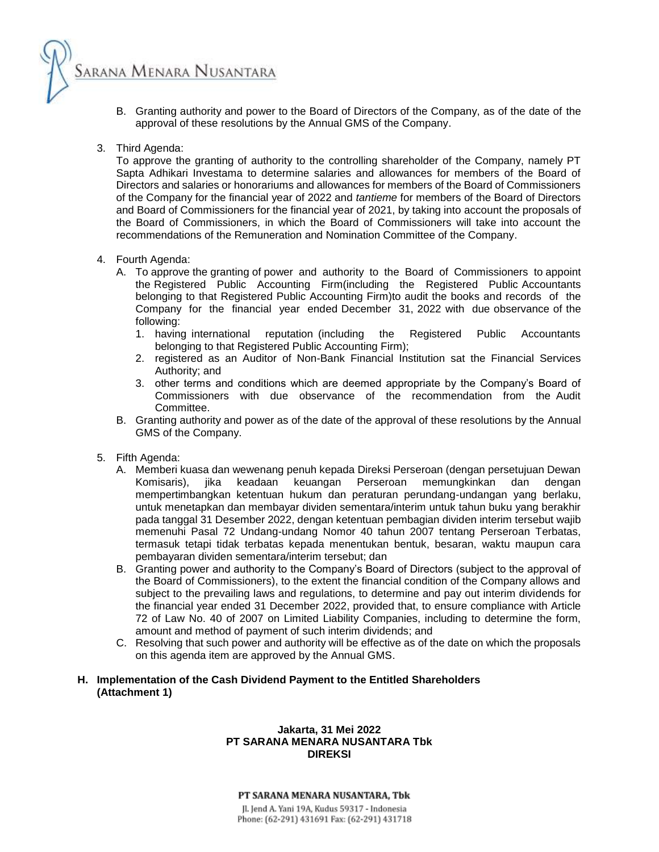- B. Granting authority and power to the Board of Directors of the Company, as of the date of the approval of these resolutions by the Annual GMS of the Company.
- 3. Third Agenda:

Sarana Menara Nusantara

To approve the granting of authority to the controlling shareholder of the Company, namely PT Sapta Adhikari Investama to determine salaries and allowances for members of the Board of Directors and salaries or honorariums and allowances for members of the Board of Commissioners of the Company for the financial year of 2022 and *tantieme* for members of the Board of Directors and Board of Commissioners for the financial year of 2021, by taking into account the proposals of the Board of Commissioners, in which the Board of Commissioners will take into account the recommendations of the Remuneration and Nomination Committee of the Company.

- 4. Fourth Agenda:
	- A. To approve the granting of power and authority to the Board of Commissioners to appoint the Registered Public Accounting Firm(including the Registered Public Accountants belonging to that Registered Public Accounting Firm)to audit the books and records of the Company for the financial year ended December 31, 2022 with due observance of the following:
		- 1. having international reputation (including the Registered Public Accountants belonging to that Registered Public Accounting Firm);
		- 2. registered as an Auditor of Non-Bank Financial Institution sat the Financial Services Authority; and
		- 3. other terms and conditions which are deemed appropriate by the Company's Board of Commissioners with due observance of the recommendation from the Audit Committee.
	- B. Granting authority and power as of the date of the approval of these resolutions by the Annual GMS of the Company.
- 5. Fifth Agenda:
	- A. Memberi kuasa dan wewenang penuh kepada Direksi Perseroan (dengan persetujuan Dewan Komisaris), jika keadaan keuangan Perseroan memungkinkan dan dengan mempertimbangkan ketentuan hukum dan peraturan perundang-undangan yang berlaku, untuk menetapkan dan membayar dividen sementara/interim untuk tahun buku yang berakhir pada tanggal 31 Desember 2022, dengan ketentuan pembagian dividen interim tersebut wajib memenuhi Pasal 72 Undang-undang Nomor 40 tahun 2007 tentang Perseroan Terbatas, termasuk tetapi tidak terbatas kepada menentukan bentuk, besaran, waktu maupun cara pembayaran dividen sementara/interim tersebut; dan
	- B. Granting power and authority to the Company's Board of Directors (subject to the approval of the Board of Commissioners), to the extent the financial condition of the Company allows and subject to the prevailing laws and regulations, to determine and pay out interim dividends for the financial year ended 31 December 2022, provided that, to ensure compliance with Article 72 of Law No. 40 of 2007 on Limited Liability Companies, including to determine the form, amount and method of payment of such interim dividends; and
	- C. Resolving that such power and authority will be effective as of the date on which the proposals on this agenda item are approved by the Annual GMS.

## **H. Implementation of the Cash Dividend Payment to the Entitled Shareholders (Attachment 1)**

#### **Jakarta, 31 Mei 2022 PT SARANA MENARA NUSANTARA Tbk DIREKSI**

#### PT SARANA MENARA NUSANTARA. Tbk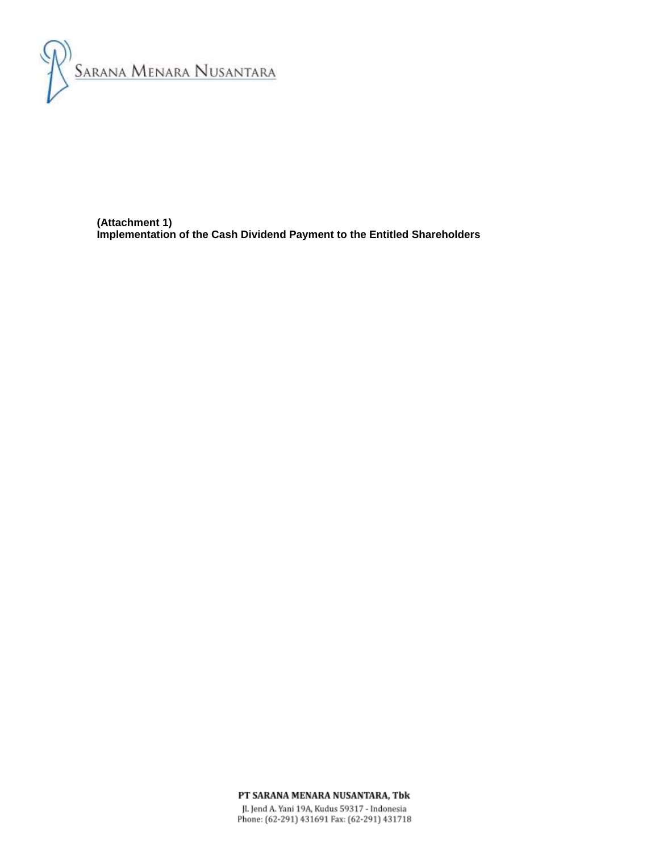

**(Attachment 1) Implementation of the Cash Dividend Payment to the Entitled Shareholders** 

PT SARANA MENARA NUSANTARA, Tbk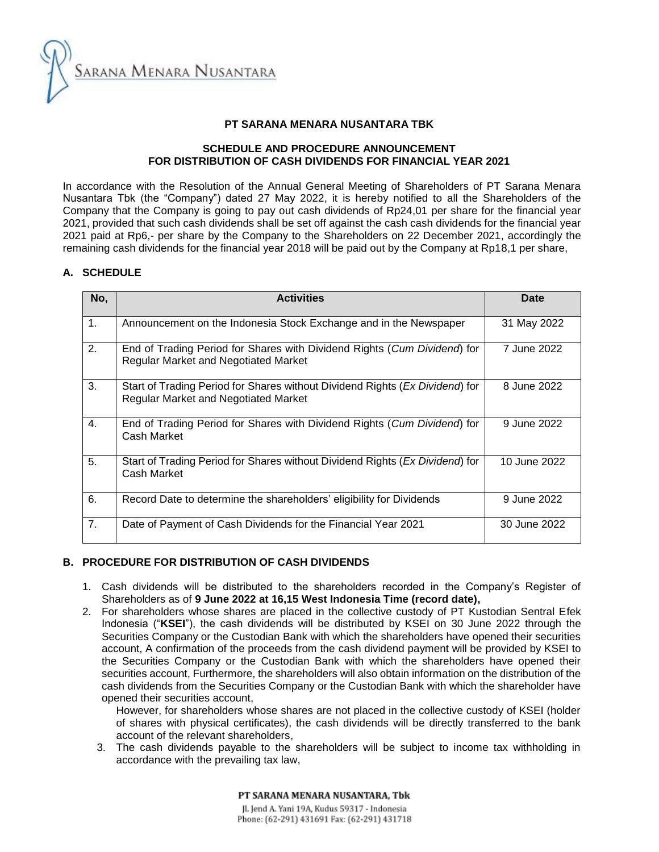SARANA MENARA NUSANTARA

# **PT SARANA MENARA NUSANTARA TBK**

# **SCHEDULE AND PROCEDURE ANNOUNCEMENT FOR DISTRIBUTION OF CASH DIVIDENDS FOR FINANCIAL YEAR 2021**

In accordance with the Resolution of the Annual General Meeting of Shareholders of PT Sarana Menara Nusantara Tbk (the "Company") dated 27 May 2022, it is hereby notified to all the Shareholders of the Company that the Company is going to pay out cash dividends of Rp24,01 per share for the financial year 2021, provided that such cash dividends shall be set off against the cash cash dividends for the financial year 2021 paid at Rp6,- per share by the Company to the Shareholders on 22 December 2021, accordingly the remaining cash dividends for the financial year 2018 will be paid out by the Company at Rp18,1 per share,

## **A. SCHEDULE**

| No,           | <b>Activities</b>                                                                                                           | Date         |
|---------------|-----------------------------------------------------------------------------------------------------------------------------|--------------|
| $\mathbf 1$ . | Announcement on the Indonesia Stock Exchange and in the Newspaper                                                           | 31 May 2022  |
| 2.            | End of Trading Period for Shares with Dividend Rights (Cum Dividend) for<br><b>Regular Market and Negotiated Market</b>     | 7 June 2022  |
| 3.            | Start of Trading Period for Shares without Dividend Rights (Ex Dividend) for<br><b>Regular Market and Negotiated Market</b> | 8 June 2022  |
| 4.            | End of Trading Period for Shares with Dividend Rights (Cum Dividend) for<br>Cash Market                                     | 9 June 2022  |
| 5.            | Start of Trading Period for Shares without Dividend Rights (Ex Dividend) for<br>Cash Market                                 | 10 June 2022 |
| 6.            | Record Date to determine the shareholders' eligibility for Dividends                                                        | 9 June 2022  |
| 7.            | Date of Payment of Cash Dividends for the Financial Year 2021                                                               | 30 June 2022 |

### **B. PROCEDURE FOR DISTRIBUTION OF CASH DIVIDENDS**

- 1. Cash dividends will be distributed to the shareholders recorded in the Company's Register of Shareholders as of **9 June 2022 at 16,15 West Indonesia Time (record date),**
- 2. For shareholders whose shares are placed in the collective custody of PT Kustodian Sentral Efek Indonesia ("**KSEI**"), the cash dividends will be distributed by KSEI on 30 June 2022 through the Securities Company or the Custodian Bank with which the shareholders have opened their securities account, A confirmation of the proceeds from the cash dividend payment will be provided by KSEI to the Securities Company or the Custodian Bank with which the shareholders have opened their securities account, Furthermore, the shareholders will also obtain information on the distribution of the cash dividends from the Securities Company or the Custodian Bank with which the shareholder have opened their securities account,

However, for shareholders whose shares are not placed in the collective custody of KSEI (holder of shares with physical certificates), the cash dividends will be directly transferred to the bank account of the relevant shareholders,

3. The cash dividends payable to the shareholders will be subject to income tax withholding in accordance with the prevailing tax law,

> PT SARANA MENARA NUSANTARA. Tbk Jl. Jend A. Yani 19A, Kudus 59317 - Indonesia Phone: (62-291) 431691 Fax: (62-291) 431718